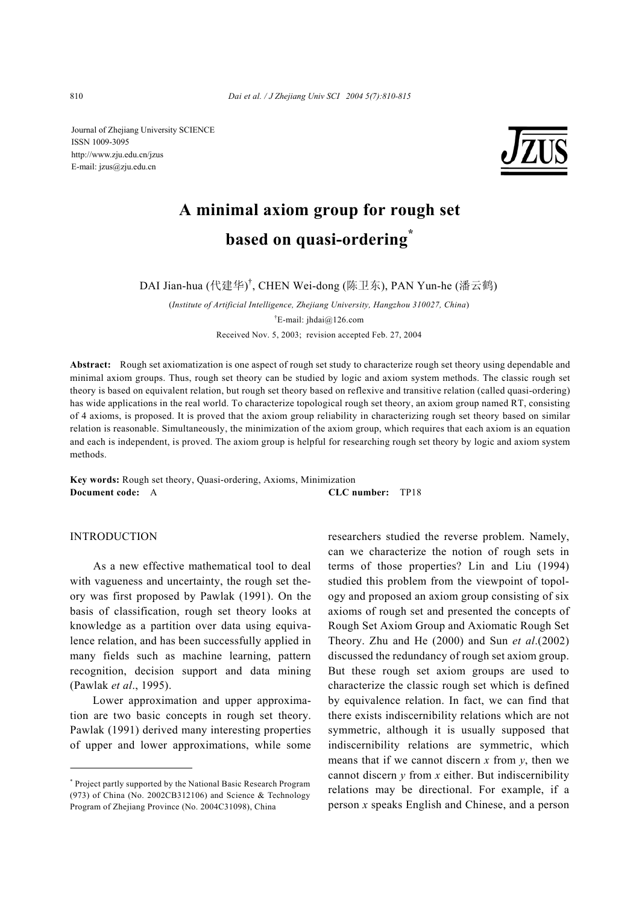Journal of Zhejiang University SCIENCE ISSN 1009-3095 http://www.zju.edu.cn/jzus E-mail: jzus@zju.edu.cn



# **A minimal axiom group for rough set based on quasi-ordering\***

DAI Jian-hua (代建华) † , CHEN Wei-dong (陈卫东), PAN Yun-he (潘云鹤)

(*Institute of Artificial Intelligence, Zhejiang University, Hangzhou 310027, China*) † E-mail: jhdai@126.com Received Nov. 5, 2003; revision accepted Feb. 27, 2004

**Abstract:** Rough set axiomatization is one aspect of rough set study to characterize rough set theory using dependable and minimal axiom groups. Thus, rough set theory can be studied by logic and axiom system methods. The classic rough set theory is based on equivalent relation, but rough set theory based on reflexive and transitive relation (called quasi-ordering) has wide applications in the real world. To characterize topological rough set theory, an axiom group named RT, consisting of 4 axioms, is proposed. It is proved that the axiom group reliability in characterizing rough set theory based on similar relation is reasonable. Simultaneously, the minimization of the axiom group, which requires that each axiom is an equation and each is independent, is proved. The axiom group is helpful for researching rough set theory by logic and axiom system methods.

**Key words:** Rough set theory, Quasi-ordering, Axioms, Minimization **Document code:** A **CLC number:** TP18

INTRODUCTION

As a new effective mathematical tool to deal with vagueness and uncertainty, the rough set theory was first proposed by Pawlak (1991). On the basis of classification, rough set theory looks at knowledge as a partition over data using equivalence relation, and has been successfully applied in many fields such as machine learning, pattern recognition, decision support and data mining (Pawlak *et al*., 1995).

Lower approximation and upper approximation are two basic concepts in rough set theory. Pawlak (1991) derived many interesting properties of upper and lower approximations, while some researchers studied the reverse problem. Namely, can we characterize the notion of rough sets in terms of those properties? Lin and Liu (1994) studied this problem from the viewpoint of topology and proposed an axiom group consisting of six axioms of rough set and presented the concepts of Rough Set Axiom Group and Axiomatic Rough Set Theory. Zhu and He (2000) and Sun *et al*.(2002) discussed the redundancy of rough set axiom group. But these rough set axiom groups are used to characterize the classic rough set which is defined by equivalence relation. In fact, we can find that there exists indiscernibility relations which are not symmetric, although it is usually supposed that indiscernibility relations are symmetric, which means that if we cannot discern  $x$  from  $y$ , then we cannot discern *y* from *x* either. But indiscernibility relations may be directional. For example, if a person *x* speaks English and Chinese, and a person

<sup>\*</sup> Project partly supported by the National Basic Research Program (973) of China (No. 2002CB312106) and Science & Technology Program of Zhejiang Province (No. 2004C31098), China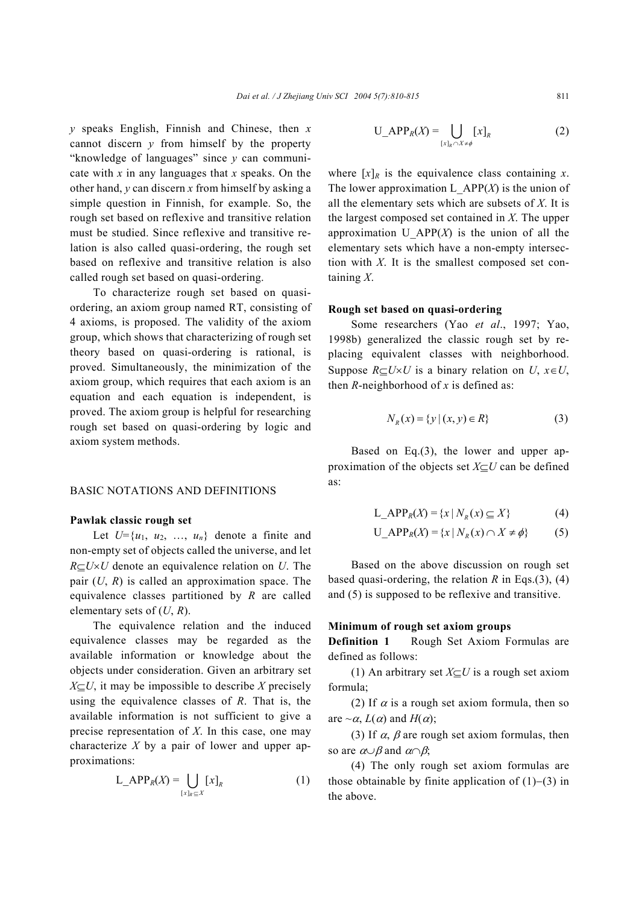*y* speaks English, Finnish and Chinese, then *x* cannot discern *y* from himself by the property "knowledge of languages" since *y* can communicate with *x* in any languages that *x* speaks. On the other hand, *y* can discern *x* from himself by asking a simple question in Finnish, for example. So, the rough set based on reflexive and transitive relation must be studied. Since reflexive and transitive relation is also called quasi-ordering, the rough set based on reflexive and transitive relation is also called rough set based on quasi-ordering.

To characterize rough set based on quasiordering, an axiom group named RT, consisting of 4 axioms, is proposed. The validity of the axiom group, which shows that characterizing of rough set theory based on quasi-ordering is rational, is proved. Simultaneously, the minimization of the axiom group, which requires that each axiom is an equation and each equation is independent, is proved. The axiom group is helpful for researching rough set based on quasi-ordering by logic and axiom system methods.

### BASIC NOTATIONS AND DEFINITIONS

#### **Pawlak classic rough set**

Let  $U=\{u_1, u_2, \ldots, u_n\}$  denote a finite and non-empty set of objects called the universe, and let *R*⊆*U*×*U* denote an equivalence relation on *U*. The pair  $(U, R)$  is called an approximation space. The equivalence classes partitioned by *R* are called elementary sets of (*U*, *R*).

The equivalence relation and the induced equivalence classes may be regarded as the available information or knowledge about the objects under consideration. Given an arbitrary set  $X \subseteq U$ , it may be impossible to describe *X* precisely using the equivalence classes of *R*. That is, the available information is not sufficient to give a precise representation of *X*. In this case, one may characterize *X* by a pair of lower and upper approximations:

$$
L_APP_R(X) = \bigcup_{[x]_R \subseteq X} [x]_R \tag{1}
$$

$$
U_APP_R(X) = \bigcup_{[x]_R \cap X \neq \phi} [x]_R \tag{2}
$$

where  $[x]_R$  is the equivalence class containing *x*. The lower approximation L  $APP(X)$  is the union of all the elementary sets which are subsets of *X*. It is the largest composed set contained in *X*. The upper approximation U  $APP(X)$  is the union of all the elementary sets which have a non-empty intersection with *X*. It is the smallest composed set containing *X*.

#### **Rough set based on quasi-ordering**

Some researchers (Yao *et al*., 1997; Yao, 1998b) generalized the classic rough set by replacing equivalent classes with neighborhood. Suppose  $R \subseteq U \times U$  is a binary relation on *U*,  $x \in U$ , then  $R$ -neighborhood of  $x$  is defined as:

$$
N_R(x) = \{ y \mid (x, y) \in R \}
$$
 (3)

Based on Eq.(3), the lower and upper approximation of the objects set *X*⊆*U* can be defined as:

$$
L_A \text{APP}_R(X) = \{x \mid N_R(x) \subseteq X\} \tag{4}
$$

$$
U_A \text{PPP}_R(X) = \{x \mid N_R(x) \cap X \neq \phi\} \tag{5}
$$

Based on the above discussion on rough set based quasi-ordering, the relation *R* in Eqs.(3), (4) and (5) is supposed to be reflexive and transitive.

## **Minimum of rough set axiom groups**

**Definition 1** Rough Set Axiom Formulas are defined as follows:

(1) An arbitrary set *X*⊆*U* is a rough set axiom formula;

(2) If  $\alpha$  is a rough set axiom formula, then so are  $\sim \alpha$ ,  $L(\alpha)$  and  $H(\alpha)$ ;

(3) If  $\alpha$ ,  $\beta$  are rough set axiom formulas, then so are  $\alpha \cup \beta$  and  $\alpha \cap \beta$ ;

(4) The only rough set axiom formulas are those obtainable by finite application of (1)−(3) in the above.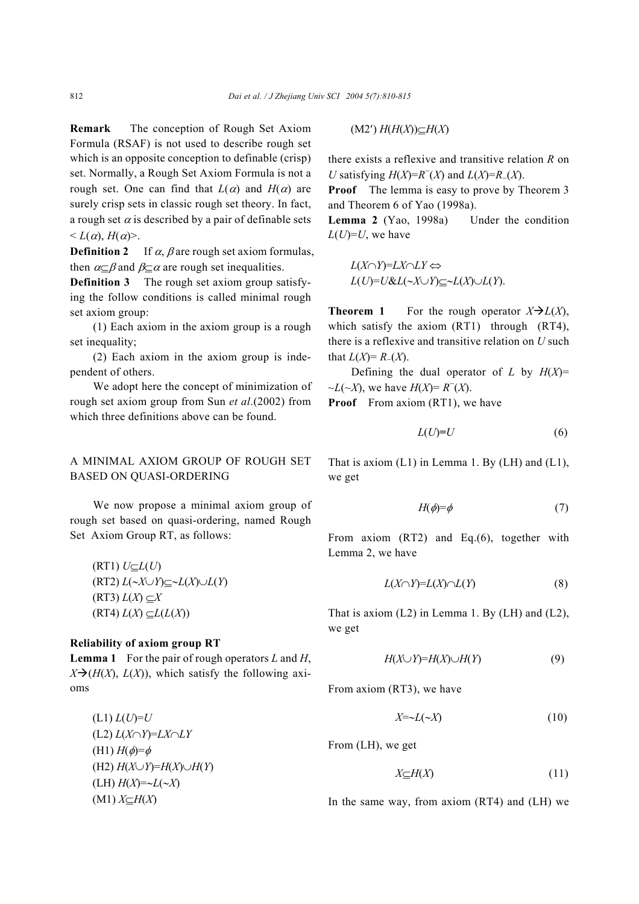**Remark** The conception of Rough Set Axiom Formula (RSAF) is not used to describe rough set which is an opposite conception to definable (crisp) set. Normally, a Rough Set Axiom Formula is not a rough set. One can find that  $L(\alpha)$  and  $H(\alpha)$  are surely crisp sets in classic rough set theory. In fact, a rough set  $\alpha$  is described by a pair of definable sets  $\leq L(\alpha)$ ,  $H(\alpha)$ .

**Definition 2** If  $\alpha$ ,  $\beta$  are rough set axiom formulas, then  $\alpha \subset \beta$  and  $\beta \subset \alpha$  are rough set inequalities.

**Definition 3** The rough set axiom group satisfying the follow conditions is called minimal rough set axiom group:

(1) Each axiom in the axiom group is a rough set inequality;

(2) Each axiom in the axiom group is independent of others.

We adopt here the concept of minimization of rough set axiom group from Sun *et al*.(2002) from which three definitions above can be found.

# A MINIMAL AXIOM GROUP OF ROUGH SET BASED ON QUASI-ORDERING

We now propose a minimal axiom group of rough set based on quasi-ordering, named Rough Set Axiom Group RT, as follows:

(RT1) *U*⊆*L*(*U*) (RT2) *L*(∼*X*∪*Y*)⊆∼*L*(*X*)∪*L*(*Y*)  $(L(X) \subseteq X)$  $L(X) \subseteq L(L(X))$ 

# **Reliability of axiom group RT**

**Lemma 1** For the pair of rough operators *L* and *H*,  $X \rightarrow (H(X), L(X))$ , which satisfy the following axioms

 $(L1) L(U)=U$ (L2) *L*(*X*∩*Y*)=*LX*∩*LY*  $(H1)$  *H*( $\phi$ )= $\phi$ (H2) *H*(*X*∪*Y*)=*H*(*X*)∪*H*(*Y*) (LH) *H*(*X*)=∼*L*(∼*X*) (M1) *X*⊆*H*(*X*)

(M2′) *H*(*H*(*X*))⊆*H*(*X*)

there exists a reflexive and transitive relation *R* on *U* satisfying  $H(X) = R^{-1}(X)$  and  $L(X) = R^{-1}(X)$ .

**Proof** The lemma is easy to prove by Theorem 3 and Theorem 6 of Yao (1998a).

Lemma 2 (Yao, 1998a) Under the condition  $L(U)=U$ , we have

$$
L(X \cap Y) = LX \cap LY \Leftrightarrow
$$
  
\n
$$
L(U) = U \& L(\sim X \cup Y) \subseteq \sim L(X) \cup L(Y).
$$

**Theorem 1** For the rough operator  $X \rightarrow L(X)$ , which satisfy the axiom (RT1) through (RT4), there is a reflexive and transitive relation on *U* such that  $L(X) = R_-(X)$ .

Defining the dual operator of *L* by  $H(X)$ = ~*L*(~*X*), we have *H*(*X*)= *R*<sup>−</sup> (*X*).

**Proof** From axiom (RT1), we have

$$
L(U)=U\tag{6}
$$

That is axiom  $(L1)$  in Lemma 1. By  $(LH)$  and  $(L1)$ , we get

$$
H(\phi) = \phi \tag{7}
$$

From axiom (RT2) and Eq.(6), together with Lemma 2, we have

$$
L(X \cap Y) = L(X) \cap L(Y) \tag{8}
$$

That is axiom  $(L2)$  in Lemma 1. By  $(LH)$  and  $(L2)$ , we get

$$
H(X \cup Y) = H(X) \cup H(Y) \tag{9}
$$

From axiom (RT3), we have

$$
X = \sim L(\sim X) \tag{10}
$$

From (LH), we get

$$
X \subseteq H(X) \tag{11}
$$

In the same way, from axiom (RT4) and (LH) we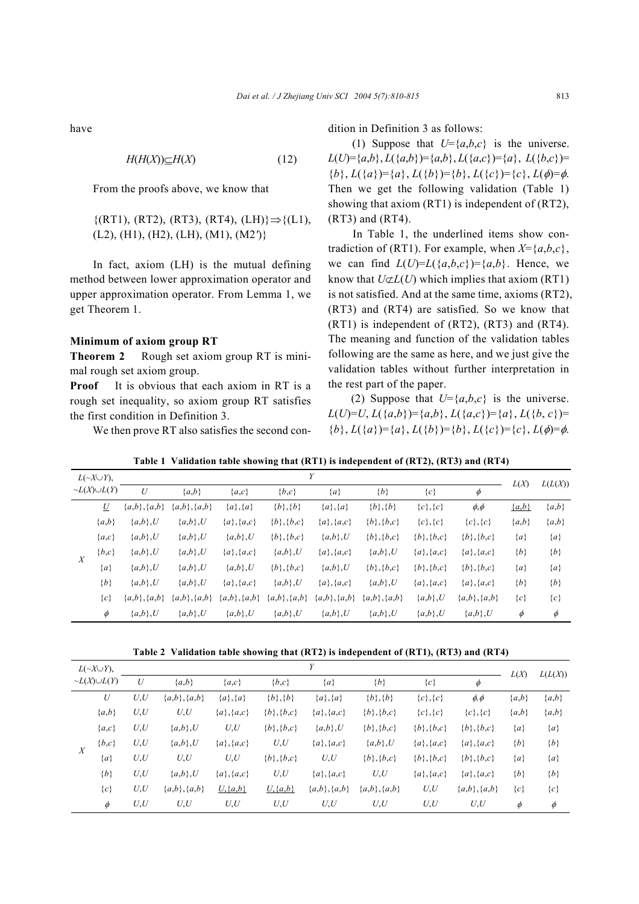have

$$
H(H(X))\subseteq H(X)\tag{12}
$$

From the proofs above, we know that

{(RT1), (RT2), (RT3), (RT4), (LH)}⇒{(L1), (L2), (H1), (H2), (LH), (M1), (M2*'*)}

In fact, axiom (LH) is the mutual defining method between lower approximation operator and upper approximation operator. From Lemma 1, we get Theorem 1.

## **Minimum of axiom group RT**

**Theorem 2** Rough set axiom group RT is minimal rough set axiom group.

**Proof** It is obvious that each axiom in RT is a rough set inequality, so axiom group RT satisfies the first condition in Definition 3.

We then prove RT also satisfies the second con-

dition in Definition 3 as follows:

(1) Suppose that  $U = \{a,b,c\}$  is the universe.  $L(U) = \{a,b\}, L(\{a,b\}) = \{a,b\}, L(\{a,c\}) = \{a\}, L(\{b,c\}) =$  ${b}$ ,  $L({a})={a}$ ,  $L({b})={b}$ ,  $L({{c}})={{c}}$ ,  $L(\phi)=\phi$ . Then we get the following validation (Table 1) showing that axiom (RT1) is independent of (RT2), (RT3) and (RT4).

In Table 1, the underlined items show contradiction of (RT1). For example, when  $X = \{a,b,c\}$ , we can find  $L(U)=L({a,b,c})={a,b}$ . Hence, we know that  $U \not\subset L(U)$  which implies that axiom (RT1) is not satisfied. And at the same time, axioms (RT2), (RT3) and (RT4) are satisfied. So we know that (RT1) is independent of (RT2), (RT3) and (RT4). The meaning and function of the validation tables following are the same as here, and we just give the validation tables without further interpretation in the rest part of the paper.

(2) Suppose that  $U = \{a,b,c\}$  is the universe.  $L(U)=U, L({a,b})={a,b}, L({a,c})={a}, L({b,c})=$  ${b}$ ,  $L({a})={a}$ ,  $L({b})={b}$ ,  $L({{c}})={{c}$ ,  $L(\phi)=\phi$ .

|                  | $L(\sim X \cup Y)$ ,  | Y              |                    |                    |                    |                    |                |                  |                |         |         |  |  |  |
|------------------|-----------------------|----------------|--------------------|--------------------|--------------------|--------------------|----------------|------------------|----------------|---------|---------|--|--|--|
|                  | $\neg L(X) \cup L(Y)$ | U              | ${a,b}$            | ${a, c}$           | ${b,c}$            | ${a}$              | ${b}$          | $\{c\}$          | φ              | L(X)    | L(L(X)) |  |  |  |
| $\boldsymbol{X}$ | U                     | ${a,b}, {a,b}$ | $\{a,b\}, \{a,b\}$ | ${a}, {a}$         | ${b}, {b}$         | ${a}, {a}$         | ${b}, {b}$     | ${c}, {c}$       | $\phi, \phi$   | ${a,b}$ | ${a,b}$ |  |  |  |
|                  | ${a,b}$               | $\{a,b\}, U$   | ${a,b}, U$         | ${a}, {a, c}$      | ${b}, {b}, c}$     | ${a}, {a, c}$      | ${b}, {b}, c}$ | ${c}, {c}$       | ${c}, {c}$     | ${a,b}$ | ${a,b}$ |  |  |  |
|                  | ${a, c}$              | ${a,b}, U$     | ${a,b}$ ,U         | ${a,b}, U$         | ${b}, {b}, c}$     | $\{a,b\}, U$       | ${b}, {b}, c}$ | $\{b\}, \{b,c\}$ | ${b}, {b}, c}$ | ${a}$   | ${a}$   |  |  |  |
|                  | $\{b,c\}$             | ${a,b}$ ,U     | ${a,b\}$ ,U        | ${a}, {a, c}$      | ${a,b}$ ,U         | ${a}, {a, c}$      | ${a,b}$ ,U     | ${a}, {a}, c}$   | ${a}, {a}, c}$ | ${b}$   | ${b}$   |  |  |  |
|                  | ${a}$                 | ${a,b}$ ,U     | $\{a,b\}$ ,U       | ${a,b}, U$         | ${b}, {b}, c}$     | $\{a,b\}, U$       | ${b}, {b}, c}$ | ${b}, {b}, c}$   | ${b}, {b}, c}$ | ${a}$   | ${a}$   |  |  |  |
|                  | ${b}$                 | ${a,b}$ ,U     | ${a,b}$ ,U         | ${a}, {a, c}$      | ${a,b}$ ,U         | ${a}, {a, c}$      | ${a,b}, U$     | ${a}, {a}, c}$   | ${a}, {a, c}$  | ${b}$   | ${b}$   |  |  |  |
|                  | ${c}$                 | ${a,b}, {a,b}$ | ${a,b}, {a,b}$     | $\{a,b\}, \{a,b\}$ | $\{a,b\}, \{a,b\}$ | $\{a,b\}, \{a,b\}$ | ${a,b}, {a,b}$ | $\{a,b\}, U$     | ${a,b}, {a,b}$ | ${c}$   | ${c}$   |  |  |  |
|                  | $\phi$                | ${a,b}, U$     | ${a,b}$ ,U         | $\{a,b\}, U$       | ${a,b}, U$         | $\{a,b\}, U$       | $\{a,b\}, U$   | ${a,b}, U$       | $\{a,b\}, U$   | $\phi$  | $\phi$  |  |  |  |

**Table 1 Validation table showing that (RT1) is independent of (RT2), (RT3) and (RT4)** 

**Table 2 Validation table showing that (RT2) is independent of (RT1), (RT3) and (RT4)** 

| $L(\sim X \cup Y)$ ,<br>$\neg L(X) \cup L(Y)$ |                  |      | L(X)               |                |                  |                   |                   |                |                    |         |         |
|-----------------------------------------------|------------------|------|--------------------|----------------|------------------|-------------------|-------------------|----------------|--------------------|---------|---------|
|                                               |                  | U    | ${a,b}$            | ${a, c}$       | ${b,c}$          | ${a}$             | $\{b\}$           | $\{c\}$        | $\phi$             |         | L(L(X)) |
|                                               | $\boldsymbol{U}$ | U, U | $\{a,b\}, \{a,b\}$ | ${a}, {a}$     | ${b}, {b}$       | ${a}, {a}$        | ${b}, {b}$        | $\{c\}, \{c\}$ | $\phi$ , $\phi$    | ${a,b}$ | ${a,b}$ |
|                                               | ${a,b}$          | U,U  | U,U                | ${a}, {a, c}$  | $\{b\}, \{b,c\}$ | ${a}, {a}, c}$    | $\{b\}, \{b,c\}$  | ${c}, {c}$     | ${c}, {c}$         | ${a,b}$ | ${a,b}$ |
|                                               | ${a, c}$         | U, U | $\{a,b\}, U$       | U,U            | ${b}, {b}, c}$   | ${a,b}$ ,U        | ${b}, {b}, c}$    | ${b}, {b}, c}$ | ${b}, {b}, c}$     | ${a}$   | ${a}$   |
|                                               | $\{b,c\}$        | U, U | $\{a,b\}, U$       | ${a}, {a}, c}$ | U,U              | ${a}, {a}, c}$    | ${a,b}$ ,U        | ${a}, {a, c}$  | ${a}, {a, c}$      | ${b}$   | ${b}$   |
| $\boldsymbol{X}$                              | ${a}$            | U, U | U,U                | U,U            | $\{b\}, \{b,c\}$ | U,U               | ${b}, {b}, {c}$   | ${b}, {b}, c}$ | ${b}, {b}, c}$     | ${a}$   | ${a}$   |
|                                               | ${b}$            | U,U  | $\{a,b\}, U$       | ${a}, {a}, c}$ | U, U             | ${a}, {a, c}$     | U, U              | ${a}, {a, c}$  | ${a}, {a, c}$      | $\{b\}$ | ${b}$   |
|                                               | $\{c\}$          | U, U | $\{a,b\}, \{a,b\}$ | $U, \{a,b\}$   | $U, \{a,b\}$     | $\{a,b\},\{a,b\}$ | $\{a,b\},\{a,b\}$ | U, U           | $\{a,b\}, \{a,b\}$ | ${c}$   | ${c}$   |
|                                               | $\phi$           | U, U | U,U                | U.U            | U,U              | U,U               | U.U               | U,U            | U, U               | $\phi$  | $\phi$  |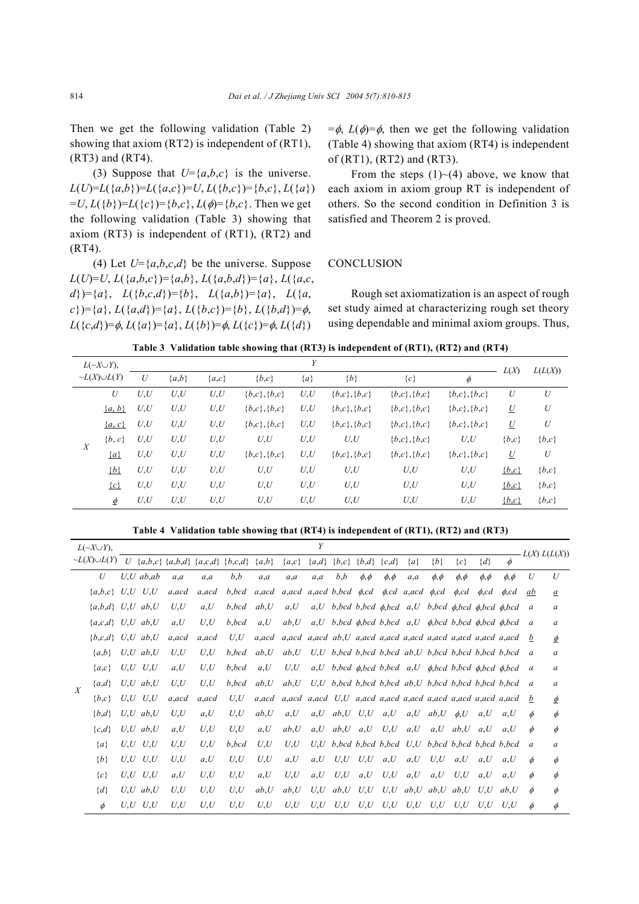Then we get the following validation (Table 2) showing that axiom (RT2) is independent of (RT1), (RT3) and (RT4).

(3) Suppose that  $U = \{a,b,c\}$  is the universe.  $L(U)=L({a,b})=L({a,c})=U, L({b,c})=({b,c}, L({a})$  $= U, L({b})=L({c})=b,c$ ,  $L(\phi)={b,c}$ . Then we get the following validation (Table 3) showing that axiom (RT3) is independent of (RT1), (RT2) and (RT4).

(4) Let  $U = \{a,b,c,d\}$  be the universe. Suppose  $L(U)=U, L({a,b,c})=\{a,b\}, L({a,b,d})=\{a\}, L({a,c,a})$  $d$ })={*a*}, *L*({*b*,*c*,*d*})={*b*}, *L*({*a*,*b*})={*a*}, *L*({*a*, *c*})={*a*}, *L*({*a*,*d*})={*a*}, *L*({*b*,*c*})={*b*}, *L*({*b*,*d*})=φ, *L*({*c*,*d*})= $\phi$ , *L*({*a*})={*a*}, *L*({*b*})= $\phi$ , *L*({*c*})= $\phi$ , *L*({*d*})

 $=\phi$ , *L*( $\phi$ )= $\phi$ , then we get the following validation (Table 4) showing that axiom (RT4) is independent of (RT1), (RT2) and (RT3).

From the steps  $(1)$   $\sim$  (4) above, we know that each axiom in axiom group RT is independent of others. So the second condition in Definition 3 is satisfied and Theorem 2 is proved.

## **CONCLUSION**

Rough set axiomatization is an aspect of rough set study aimed at characterizing rough set theory using dependable and minimal axiom groups. Thus,

**Table 3 Validation table showing that (RT3) is independent of (RT1), (RT2) and (RT4)** 

| $L(\sim X \cup Y)$ ,<br>$\neg L(X) \cup L(Y)$ |            |      | L(X)    | L(L(X))  |                |       |                |                |                |                 |         |
|-----------------------------------------------|------------|------|---------|----------|----------------|-------|----------------|----------------|----------------|-----------------|---------|
|                                               |            | U    | ${a,b}$ | ${a, c}$ | ${b,c}$        | ${a}$ | ${b}$          | $\{c\}$        | $\phi$         |                 |         |
|                                               | U          | U, U | U, U    | U, U     | ${b,c}, {b,c}$ | U, U  | ${b,c}, {b,c}$ | ${b,c}, {b,c}$ | ${b,c}, {b,c}$ | U               | U       |
|                                               | $\{a, b\}$ | U,U  | U, U    | U, U     | ${b,c}, {b,c}$ | U, U  | ${b,c}, {b,c}$ | ${b,c}, {b,c}$ | ${b,c}, {b,c}$ | $\underline{U}$ | U       |
|                                               | $\{a, c\}$ | U, U | U, U    | U, U     | ${b,c}, {b,c}$ | U, U  | ${b,c}, {b,c}$ | ${b,c}, {b,c}$ | ${b,c}, {b,c}$ | $\underline{U}$ | U       |
| X                                             | $\{b, c\}$ | U, U | U, U    | U, U     | U, U           | U, U  | U, U           | ${b,c}, {b,c}$ | U, U           | $\{b,c\}$       | ${b,c}$ |
|                                               | $\{a\}$    | U,U  | U, U    | U, U     | ${b,c}, {b,c}$ | U, U  | ${b,c}, {b,c}$ | ${b,c}, {b,c}$ | ${b,c}, {b,c}$ | $\underline{U}$ | U       |
|                                               | ${b}$      | U, U | U, U    | U, U     | U, U           | U, U  | U, U           | U,U            | U, U           | ${b,c}$         | ${b,c}$ |
|                                               | $\{c\}$    | U, U | U, U    | U, U     | U, U           | U, U  | U, U           | U,U            | U,U            | ${b,c}$         | ${b,c}$ |
|                                               | $\phi$     | U, U | U, U    | U, U     | U, U           | U, U  | U, U           | U,U            | U, U           | $\{b,c\}$       | ${b,c}$ |

**Table 4 Validation table showing that (RT4) is independent of (RT1), (RT2) and (RT3)** 

| $L(\sim X \cup Y)$ , |                        |     | Y              |                                   |        |       |                                                |                                                                              |         |         |                       |              |                    |                                                                                          |                       |              |                 | $-L(X) L(L(X))$ |                 |
|----------------------|------------------------|-----|----------------|-----------------------------------|--------|-------|------------------------------------------------|------------------------------------------------------------------------------|---------|---------|-----------------------|--------------|--------------------|------------------------------------------------------------------------------------------|-----------------------|--------------|-----------------|-----------------|-----------------|
|                      | $\neg L(X) \cup L(Y)$  |     |                | U {a,b,c} {a,b,d} {a,c,d} {b,c,d} |        |       | ${a,b}$                                        | ${a,c}$                                                                      | ${a,d}$ | ${b,c}$ | ${b,d}$               | ${c,d}$      | ${a}$              | ${b}$                                                                                    | ${c}$                 | $\{d\}$      | $\phi$          |                 |                 |
|                      | U                      |     | $U, U$ ab, ab  | $a_a$                             | a.a    | b,b   | a,a                                            | a,a                                                                          | $a_a$   | b,b     | $\phi, \phi$          | $\phi, \phi$ | a,a                | $\phi, \phi$                                                                             | $\phi$ , $\phi$       | $\phi, \phi$ | $\phi$ , $\phi$ | U               | U               |
|                      | ${a,b,c}$ $U,U$ $U,U$  |     |                | a.acd                             | a.acd  | b,bcd | $a, acd$ $a, acd$ $a, acd$ $b, bcd$ $\phi, cd$ |                                                                              |         |         |                       |              | $\phi$ , cd a, acd | $\phi$ .cd                                                                               | $\phi$ <sub>c</sub> d | $\phi$ .cd   | $\phi$ .cd      | ab              | $\underline{a}$ |
|                      | ${a,b,d}$ $U,U$ $ab,U$ |     |                | U,U                               | a, U   | b,bcd | ab, U                                          | a, U                                                                         |         |         |                       |              |                    | $a, U$ b, bcd b, bcd $\phi$ , bcd $a, U$ b, bcd $\phi$ , bcd $\phi$ , bcd $\phi$ , bcd a |                       |              |                 |                 | a               |
|                      | ${a,c,d}$ $U,U$ $ab,U$ |     |                | a, U                              | U.U    | b,bcd | a, U                                           | ab.U                                                                         |         |         |                       |              |                    | $a, U, b, bcd, \phi, bcd, b, bcd, a, U, \phi, bcd, b, bcd, \phi, bcd, \phi, bcd$         |                       |              |                 | $\overline{a}$  | a               |
|                      | ${b,c,d}$ $U,U$ $ab,U$ |     |                | a.acd                             | a.acd  | U, U  |                                                | a, acd a, acd a, acd ab, $U$ a, acd a, acd a, acd a, acd a, acd a, acd b     |         |         |                       |              |                    |                                                                                          |                       |              |                 |                 | $\phi$          |
|                      | ${a,b}$                |     | $U, U$ ab, $U$ | U,U                               | U,U    | b,bcd | ab, U                                          | ab, U                                                                        |         |         |                       |              |                    | $U, U$ b, bcd b, bcd b, bcd ab, $U$ b, bcd b, bcd b, bcd b, bcd a                        |                       |              |                 |                 | a               |
|                      | ${a,c}$                |     | $U,U$ $U,U$    | a, U                              | U,U    | b,bcd | a, U                                           | U,U                                                                          |         |         |                       |              |                    | $a, U$ b, bcd $\phi$ , bcd b, bcd $a, U$ $\phi$ , bcd b, bcd $\phi$ , bcd $\phi$ , bcd a |                       |              |                 |                 | a               |
| $\boldsymbol{X}$     | ${a,d}$                |     | $U, U$ ab, $U$ | U,U                               | U,U    | b,bcd | ab, U                                          | ab, U                                                                        |         |         |                       |              |                    | $U, U$ b, bcd b, bcd b, bcd ab, $U$ b, bcd b, bcd b, bcd b, bcd a                        |                       |              |                 |                 | a               |
|                      | ${b,c}$                |     | $U,U$ $U,U$    | a.acd                             | a, acd | U, U  |                                                | a, acd a, acd a, acd $U, U$ a, acd a, acd a, acd a, acd a, acd a, acd a, acd |         |         |                       |              |                    |                                                                                          |                       |              |                 | b               | $\phi$          |
|                      | ${b,d}$                |     | U, U, ab, U    | U.U                               | a, U   | U, U  | ab, U                                          | a, U                                                                         |         |         | $a, U$ ab, $U$ $U, U$ | a, U         | a, U               | ab, U                                                                                    | $\phi$ .U             | a.U          | a.U             | $\phi$          | $\phi$          |
|                      | ${c,d}$                |     | U, U, ab, U    | a, U                              | U,U    | U,U   | a, U                                           | ab, U                                                                        | a, U    |         | $ab, U \quad a, U$    | U,U          | a, U               | a, U                                                                                     | ab, U                 | a, U         | a, U            | $\phi$          | $\phi$          |
|                      | ${a}$                  |     | $U,U$ $U,U$    | U,U                               | U,U    | b,bcd | U,U                                            | U,U                                                                          |         |         |                       |              |                    | $U, U$ b, bcd b, bcd b, bcd $U, U$ b, bcd b, bcd b, bcd b, bcd                           |                       |              |                 | $\overline{a}$  | a               |
|                      | ${b}$                  |     | $U,U$ $U,U$    | U.U                               | a, U   | U,U   | U,U                                            | a, U                                                                         | a, U    |         | $U, U$ $U, U$         | a, U         | a, U               | U,U                                                                                      | a, U                  | a, U         | a, U            | $\phi$          | $\phi$          |
|                      | ${c}$                  |     | $U.U$ $U.U$    | a, U                              | U,U    | U,U   | a, U                                           | U,U                                                                          | a, U    |         | $U, U \quad a, U$     | U,U          | a, U               | a, U                                                                                     | U,U                   | a.U          | a.U             | $\phi$          | $\phi$          |
|                      | $\{d\}$                |     | U, U, ab, U    | U,U                               | U,U    | U.U   | ab, U                                          | ab, U                                                                        | U,U     |         | ab, U, U, U           |              |                    | $U, U$ ab, $U$ ab, $U$ ab, $U$                                                           |                       | U.U          | ab,U            | $\phi$          | $\phi$          |
|                      | $\phi$                 | U.U | U.U            | U.U                               | U.U    | U,U   | U,U                                            | U,U                                                                          | U,U     | U,U     | U,U                   | U,U          | U,U                | U,U                                                                                      | U.U                   | U.U          | U.U             | ø               | $\phi$          |